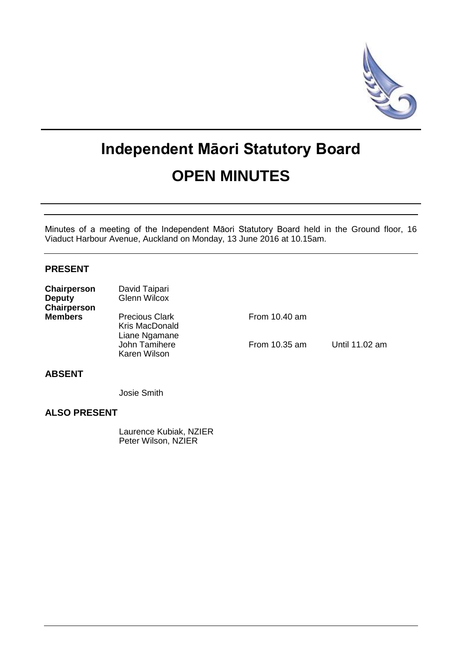

# **Independent Māori Statutory Board OPEN MINUTES**

Minutes of a meeting of the Independent Māori Statutory Board held in the Ground floor, 16 Viaduct Harbour Avenue, Auckland on Monday, 13 June 2016 at 10.15am.

# **PRESENT**

| Chairperson<br><b>Deputy</b><br>Chairperson | David Taipari<br><b>Glenn Wilcox</b>                     |                 |                |
|---------------------------------------------|----------------------------------------------------------|-----------------|----------------|
| <b>Members</b>                              | <b>Precious Clark</b><br>Kris MacDonald<br>Liane Ngamane | From $10.40$ am |                |
|                                             | John Tamihere<br>Karen Wilson                            | From 10.35 am   | Until 11.02 am |

# **ABSENT**

Josie Smith

# **ALSO PRESENT**

Laurence Kubiak, NZIER Peter Wilson, NZIER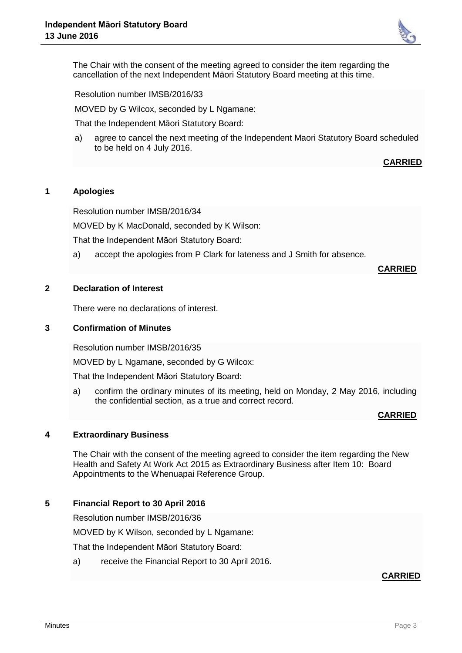

The Chair with the consent of the meeting agreed to consider the item regarding the cancellation of the next Independent Māori Statutory Board meeting at this time.

Resolution number IMSB/2016/33

MOVED by G Wilcox, seconded by L Ngamane:

That the Independent Māori Statutory Board:

a) agree to cancel the next meeting of the Independent Maori Statutory Board scheduled to be held on 4 July 2016.

**CARRIED**

## **1 Apologies**

Resolution number IMSB/2016/34

MOVED by K MacDonald, seconded by K Wilson:

That the Independent Māori Statutory Board:

a) accept the apologies from P Clark for lateness and J Smith for absence.

**CARRIED**

## **2 Declaration of Interest**

There were no declarations of interest.

#### **3 Confirmation of Minutes**

Resolution number IMSB/2016/35

MOVED by L Ngamane, seconded by G Wilcox:

That the Independent Māori Statutory Board:

a) confirm the ordinary minutes of its meeting, held on Monday, 2 May 2016, including the confidential section, as a true and correct record.

#### **CARRIED**

#### **4 Extraordinary Business**

The Chair with the consent of the meeting agreed to consider the item regarding the New Health and Safety At Work Act 2015 as Extraordinary Business after Item 10: Board Appointments to the Whenuapai Reference Group.

#### **5 Financial Report to 30 April 2016**

Resolution number IMSB/2016/36

MOVED by K Wilson, seconded by L Ngamane:

That the Independent Māori Statutory Board:

a) receive the Financial Report to 30 April 2016.

#### **CARRIED**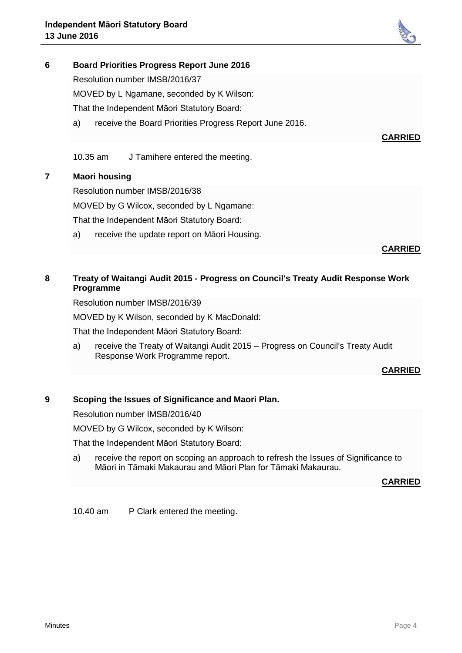# **6 Board Priorities Progress Report June 2016**

Resolution number IMSB/2016/37

MOVED by L Ngamane, seconded by K Wilson:

That the Independent Māori Statutory Board:

a) receive the Board Priorities Progress Report June 2016.

10.35 am J Tamihere entered the meeting.

# **7 Maori housing**

Resolution number IMSB/2016/38

MOVED by G Wilcox, seconded by L Ngamane:

That the Independent Māori Statutory Board:

a) receive the update report on Māori Housing.

#### **CARRIED**

**CARRIED**

# **8 Treaty of Waitangi Audit 2015 - Progress on Council's Treaty Audit Response Work Programme**

Resolution number IMSB/2016/39

MOVED by K Wilson, seconded by K MacDonald:

That the Independent Māori Statutory Board:

a) receive the Treaty of Waitangi Audit 2015 – Progress on Council's Treaty Audit Response Work Programme report.

#### **CARRIED**

#### **9 Scoping the Issues of Significance and Maori Plan.**

Resolution number IMSB/2016/40

MOVED by G Wilcox, seconded by K Wilson:

That the Independent Māori Statutory Board:

a) receive the report on scoping an approach to refresh the Issues of Significance to Māori in Tāmaki Makaurau and Māori Plan for Tāmaki Makaurau.

#### **CARRIED**

10.40 am P Clark entered the meeting.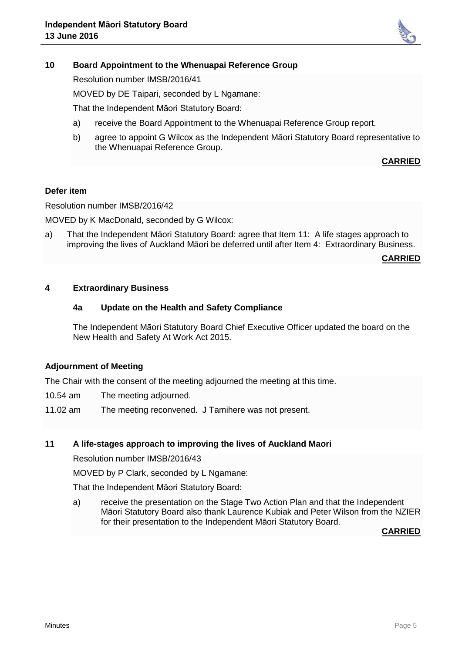

#### **10 Board Appointment to the Whenuapai Reference Group**

Resolution number IMSB/2016/41

MOVED by DE Taipari, seconded by L Ngamane:

That the Independent Māori Statutory Board:

- a) receive the Board Appointment to the Whenuapai Reference Group report.
- b) agree to appoint G Wilcox as the Independent Māori Statutory Board representative to the Whenuapai Reference Group.

#### **CARRIED**

#### **Defer item**

Resolution number IMSB/2016/42

MOVED by K MacDonald, seconded by G Wilcox:

a) That the Independent Māori Statutory Board: agree that Item 11: A life stages approach to improving the lives of Auckland Māori be deferred until after Item 4: Extraordinary Business.

**CARRIED**

#### **4 Extraordinary Business**

#### **4a Update on the Health and Safety Compliance**

The Independent Māori Statutory Board Chief Executive Officer updated the board on the New Health and Safety At Work Act 2015.

#### **Adjournment of Meeting**

The Chair with the consent of the meeting adjourned the meeting at this time.

- 10.54 am The meeting adjourned.
- 11.02 am The meeting reconvened. J Tamihere was not present.

#### **11 A life-stages approach to improving the lives of Auckland Maori**

Resolution number IMSB/2016/43

MOVED by P Clark, seconded by L Ngamane:

That the Independent Māori Statutory Board:

a) receive the presentation on the Stage Two Action Plan and that the Independent Māori Statutory Board also thank Laurence Kubiak and Peter Wilson from the NZIER for their presentation to the Independent Māori Statutory Board.

**CARRIED**